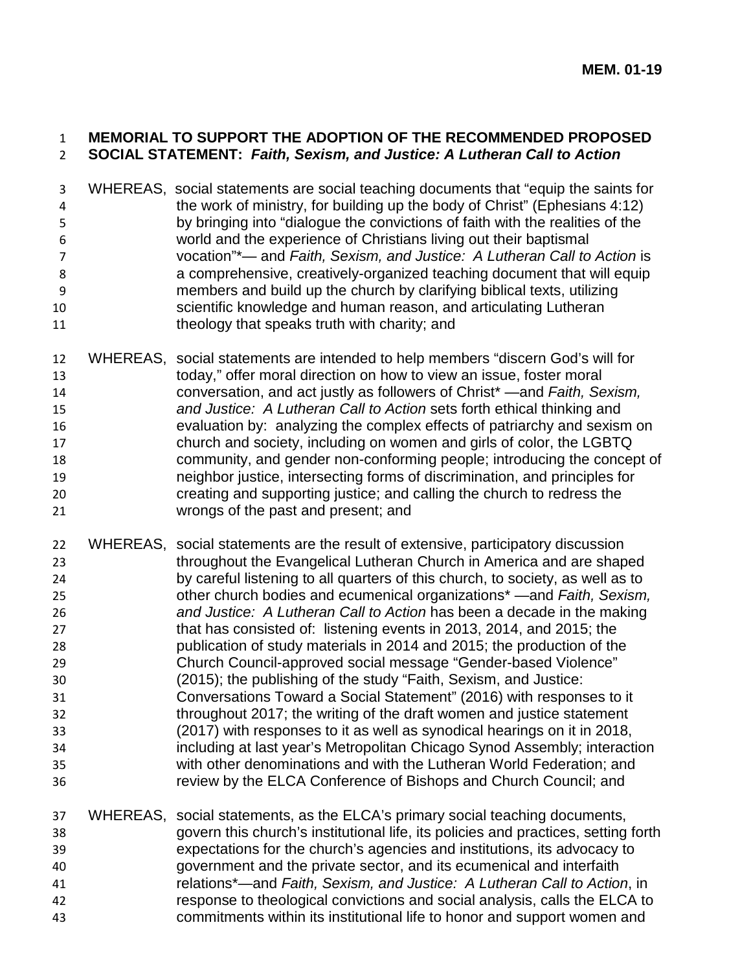## **MEMORIAL TO SUPPORT THE ADOPTION OF THE RECOMMENDED PROPOSED SOCIAL STATEMENT:** *Faith, Sexism, and Justice: A Lutheran Call to Action*

- WHEREAS, social statements are social teaching documents that "equip the saints for the work of ministry, for building up the body of Christ" (Ephesians 4:12) by bringing into "dialogue the convictions of faith with the realities of the world and the experience of Christians living out their baptismal vocation"\*— and *Faith, Sexism, and Justice: A Lutheran Call to Action* is a comprehensive, creatively-organized teaching document that will equip members and build up the church by clarifying biblical texts, utilizing scientific knowledge and human reason, and articulating Lutheran theology that speaks truth with charity; and
- WHEREAS, social statements are intended to help members "discern God's will for today," offer moral direction on how to view an issue, foster moral conversation, and act justly as followers of Christ\* —and *Faith, Sexism, and Justice: A Lutheran Call to Action* sets forth ethical thinking and evaluation by: analyzing the complex effects of patriarchy and sexism on church and society, including on women and girls of color, the LGBTQ community, and gender non-conforming people; introducing the concept of neighbor justice, intersecting forms of discrimination, and principles for creating and supporting justice; and calling the church to redress the wrongs of the past and present; and
- WHEREAS, social statements are the result of extensive, participatory discussion throughout the Evangelical Lutheran Church in America and are shaped by careful listening to all quarters of this church, to society, as well as to other church bodies and ecumenical organizations\* —and *Faith, Sexism, and Justice: A Lutheran Call to Action* has been a decade in the making that has consisted of: listening events in 2013, 2014, and 2015; the publication of study materials in 2014 and 2015; the production of the Church Council-approved social message "Gender-based Violence" (2015); the publishing of the study "Faith, Sexism, and Justice: Conversations Toward a Social Statement" (2016) with responses to it throughout 2017; the writing of the draft women and justice statement (2017) with responses to it as well as synodical hearings on it in 2018, including at last year's Metropolitan Chicago Synod Assembly; interaction with other denominations and with the Lutheran World Federation; and review by the ELCA Conference of Bishops and Church Council; and
- WHEREAS, social statements, as the ELCA's primary social teaching documents, govern this church's institutional life, its policies and practices, setting forth expectations for the church's agencies and institutions, its advocacy to government and the private sector, and its ecumenical and interfaith relations\*—and *Faith, Sexism, and Justice: A Lutheran Call to Action*, in response to theological convictions and social analysis, calls the ELCA to commitments within its institutional life to honor and support women and